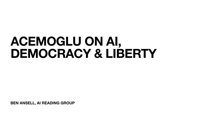**BEN ANSELL, AI READING GROUP**

# **ACEMOGLU ON AI, DEMOCRACY & LIBERTY**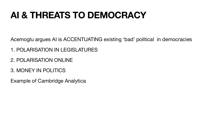### **AI & THREATS TO DEMOCRACY**

#### Acemoglu argues AI is ACCENTUATING existing 'bad' political in democracies

- 
- 1. POLARISATION IN LEGISLATURES
- 2. POLARISATION ONLINE
- 3. MONEY IN POLITICS
- Example of Cambridge Analytica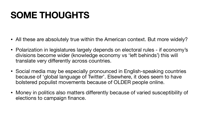- All these are absolutely true within the American context. But more widely?
- Polarization in legislatures largely depends on electoral rules if economy's divisions become wider (knowledge economy vs 'left behinds') this will translate very differently across countries.
- Social media may be especially pronounced in English-speaking countries because of 'global language of Twitter'. Elsewhere, it does seem to have bolstered populist movements because of OLDER people online.
- Money in politics also matters differently because of varied susceptibility of elections to campaign finance.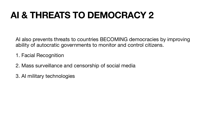## **AI & THREATS TO DEMOCRACY 2**

AI also prevents threats to countries BECOMING democracies by improving ability of autocratic governments to monitor and control citizens.

- 1. Facial Recognition
- 2. Mass surveillance and censorship of social media
- 3. AI military technologies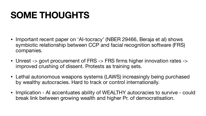• Important recent paper on 'AI-tocracy' (NBER 29466, Beraja et al) shows symbiotic relationship between CCP and facial recognition software (FRS)

• Unrest -> govt procurement of FRS -> FRS firms higher innovation rates ->

• Lethal autonomous weapons systems (LAWS) increasingly being purchased

- companies.
- improved crushing of dissent. Protests as training sets.
- by wealthy autocracies. Hard to track or control internationally.
- break link between growing wealth and higher Pr. of democratisation.

• Implication - AI accentuates ability of WEALTHY autocracies to survive - could

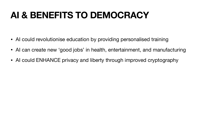### **AI & BENEFITS TO DEMOCRACY**

- AI could revolutionise education by providing personalised training
- AI can create new 'good jobs' in health, entertainment, and manufacturing
- AI could ENHANCE privacy and liberty through improved cryptography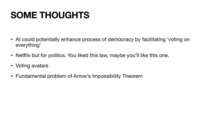• AI could potentially enhance process of democracy by facilitating 'voting on

- everything'
- Netflix but for politics. You liked this law, maybe you'll like this one.
- Voting avatars
- Fundamental problem of Arrow's Impossibility Theorem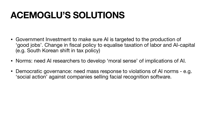### **ACEMOGLU'S SOLUTIONS**

- Government Investment to make sure AI is targeted to the production of 'good jobs'. Change in fiscal policy to equalise taxation of labor and AI-capital (e.g. South Korean shift in tax policy)
- Norms: need AI researchers to develop 'moral sense' of implications of AI.
- Democratic governance: need mass response to violations of AI norms e.g. 'social action' against companies selling facial recognition software.